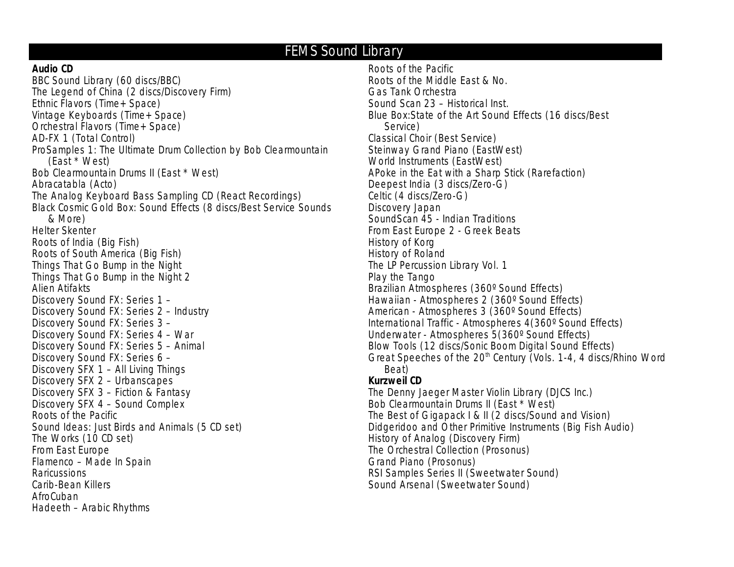# **FEMS Sound Library**

#### **Audio CD**

BBC Sound Library (60 discs/BBC) The Legend of China (2 discs/Discovery Firm) Ethnic Flavors (Time+ Space) Vintage Keyboards (Time+ Space) Orchestral Flavors (Time+ Space) AD-FX 1 (Total Control) ProSamples 1: The Ultimate Drum Collection by Bob Clearmountain (East \* West) Bob Clearmountain Drums II (East \* West) Abracatabla (Acto) The Analog Keyboard Bass Sampling CD (React Recordings) Black Cosmic Gold Box: Sound Effects (8 discs/Best Service Sounds & More) Helter Skenter Roots of India (Big Fish) Roots of South America (Big Fish) Things That Go Bump in the Night Things That Go Bump in the Night 2 Alien Atifakts Discovery Sound FX: Series 1 – Discovery Sound FX: Series 2 – Industry Discovery Sound FX: Series 3 – Discovery Sound FX: Series 4 – War Discovery Sound FX: Series 5 – Animal Discovery Sound FX: Series 6 – Discovery SFX 1 – All Living Things Discovery SFX 2 – Urbanscapes Discovery SFX 3 – Fiction & Fantasy Discovery SFX 4 – Sound Complex Roots of the Pacific Sound Ideas: Just Birds and Animals (5 CD set) The Works (10 CD set) From East Europe Flamenco – Made In Spain **Raricussions** Carib-Bean Killers AfroCuban Hadeeth – Arabic Rhythms

Roots of the Pacific Roots of the Middle East & No. Gas Tank Orchestra Sound Scan 23 – Historical Inst. Blue Box:State of the Art Sound Effects (16 discs/Best Service) Classical Choir (Best Service) Steinway Grand Piano (EastWest) World Instruments (EastWest) APoke in the Eat with a Sharp Stick (Rarefaction) Deepest India (3 discs/Zero-G) Celtic (4 discs/Zero-G) Discovery Japan SoundScan 45 - Indian Traditions From East Europe 2 - Greek Beats History of Korg History of Roland The LP Percussion Library Vol. 1 Play the Tango Brazilian Atmospheres (360º Sound Effects) Hawaiian - Atmospheres 2 (360º Sound Effects) American - Atmospheres 3 (360º Sound Effects) International Traffic - Atmospheres 4(360º Sound Effects) Underwater - Atmospheres 5(360º Sound Effects) Blow Tools (12 discs/Sonic Boom Digital Sound Effects) Great Speeches of the 20<sup>th</sup> Century (Vols. 1-4, 4 discs/Rhino Word Beat) **Kurzweil CD**

The Denny Jaeger Master Violin Library (DJCS Inc.) Bob Clearmountain Drums II (East \* West) The Best of Gigapack I & II (2 discs/Sound and Vision) Didgeridoo and Other Primitive Instruments (Big Fish Audio) History of Analog (Discovery Firm) The Orchestral Collection (Prosonus) Grand Piano (Prosonus) RSI Samples Series II (Sweetwater Sound) Sound Arsenal (Sweetwater Sound)